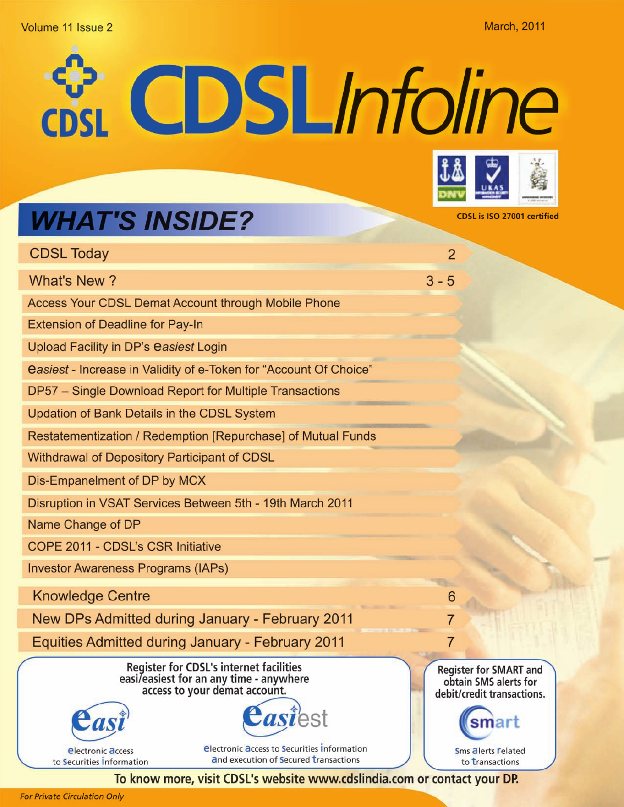## Volume 11 Issue 2

**March, 2011** 

**EDSLInfoline** 



**CDSL is ISO 27001 certified** 

# **WHAT'S INSIDE?**

| <b>CDSL Today</b>                                                   |                                                                                                                            | $\overline{2}$ |                                                                                      |
|---------------------------------------------------------------------|----------------------------------------------------------------------------------------------------------------------------|----------------|--------------------------------------------------------------------------------------|
| What's New?                                                         |                                                                                                                            | $3 - 5$        |                                                                                      |
| <b>Access Your CDSL Demat Account through Mobile Phone</b>          |                                                                                                                            |                |                                                                                      |
| <b>Extension of Deadline for Pay-In</b>                             |                                                                                                                            |                |                                                                                      |
| Upload Facility in DP's easiest Login                               |                                                                                                                            |                |                                                                                      |
|                                                                     | easiest - Increase in Validity of e-Token for "Account Of Choice"                                                          |                |                                                                                      |
| DP57 - Single Download Report for Multiple Transactions             |                                                                                                                            |                |                                                                                      |
| <b>Updation of Bank Details in the CDSL System</b>                  |                                                                                                                            |                |                                                                                      |
|                                                                     | Restatementization / Redemption [Repurchase] of Mutual Funds                                                               |                |                                                                                      |
| Withdrawal of Depository Participant of CDSL                        |                                                                                                                            |                |                                                                                      |
| Dis-Empanelment of DP by MCX                                        |                                                                                                                            |                |                                                                                      |
|                                                                     | Disruption in VSAT Services Between 5th - 19th March 2011                                                                  |                |                                                                                      |
| Name Change of DP                                                   |                                                                                                                            |                |                                                                                      |
| COPE 2011 - CDSL's CSR Initiative                                   |                                                                                                                            |                |                                                                                      |
| <b>Investor Awareness Programs (IAPs)</b>                           |                                                                                                                            |                |                                                                                      |
| <b>Knowledge Centre</b>                                             |                                                                                                                            | 6              |                                                                                      |
|                                                                     | New DPs Admitted during January - February 2011                                                                            | $\overline{7}$ |                                                                                      |
|                                                                     | Equities Admitted during January - February 2011                                                                           |                |                                                                                      |
|                                                                     | <b>Register for CDSL's internet facilities</b><br>easi/easiest for an any time - anywhere<br>access to your demat account. |                | <b>Register for SMART and</b><br>obtain SMS alerts for<br>debit/credit transactions. |
|                                                                     | astest                                                                                                                     |                |                                                                                      |
| <b><i><u>Electronic access</u></i></b><br>to Securities Information | <b>electronic access to Securities Information</b><br>and execution of Secured transactions                                |                | <b>Sms alerts Felated</b><br>to transactions                                         |

To know more, visit CDSL's website www.cdslindia.com or contact your DP.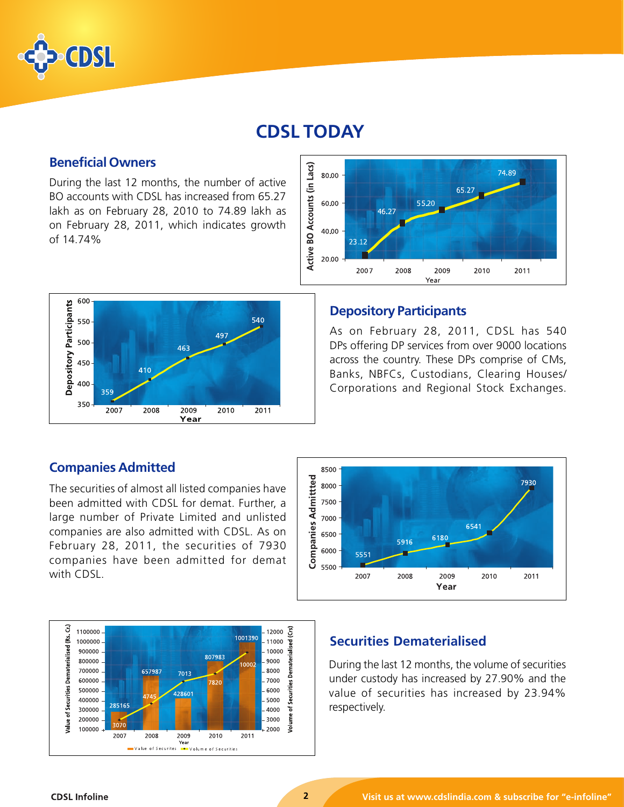

# **CDSL TODAY**

# **Beneficial Owners**

During the last 12 months, the number of active BO accounts with CDSL has increased from 65.27 lakh as on February 28, 2010 to 74.89 lakh as on February 28, 2011, which indicates growth of 14.74%



#### Active BO Accounts (in Lacs) 74.89 80.00 65.27 55.20 60.00 46.27 40.00 23.12 20.00 2007 2008 2010 2011 2009 Year

# **Depository Participants**

As on February 28, 2011, CDSL has 540 DPs offering DP services from over 9000 locations across the country. These DPs comprise of CMs, Banks, NBFCs, Custodians, Clearing Houses/ Corporations and Regional Stock Exchanges.

# **Companies Admitted**

The securities of almost all listed companies have been admitted with CDSL for demat. Further, a large number of Private Limited and unlisted companies are also admitted with CDSL. As on February 28, 2011, the securities of 7930 companies have been admitted for demat with CDSL.





# **Securities Dematerialised**

During the last 12 months, the volume of securities under custody has increased by 27.90% and the value of securities has increased by 23.94% respectively.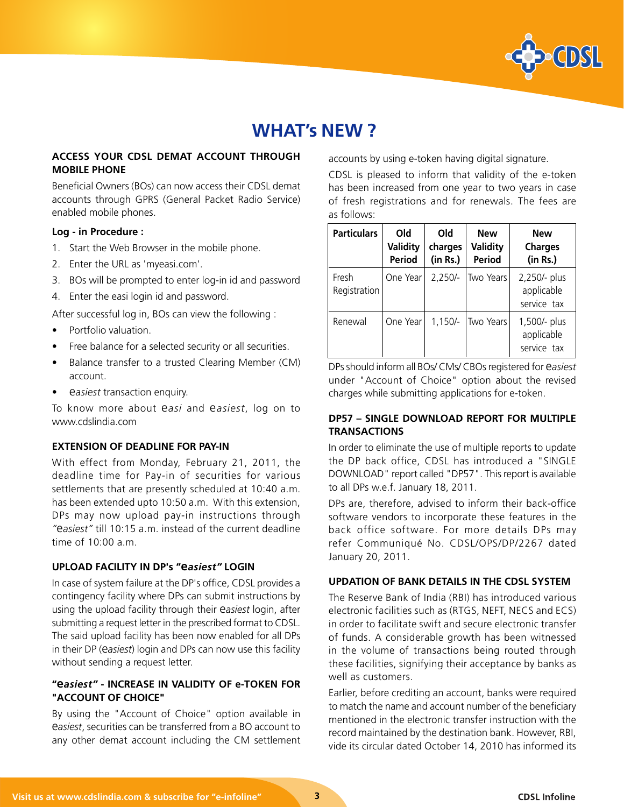

# **WHAT's NEW ?**

## **ACCESS YOUR CDSL DEMAT ACCOUNT THROUGH MOBILE PHONE**

Beneficial Owners (BOs) can now access their CDSL demat accounts through GPRS (General Packet Radio Service) enabled mobile phones.

#### **Log - in Procedure :**

- 1. Start the Web Browser in the mobile phone.
- 2. Enter the URL as 'myeasi.com'.
- 3. BOs will be prompted to enter log-in id and password
- 4. Enter the easi login id and password.

After successful log in, BOs can view the following :

- Portfolio valuation.
- Free balance for a selected security or all securities.
- Balance transfer to a trusted Clearing Member (CM) account.
- e*asiest* transaction enquiry.

To know more about e*asi* and e*asiest*, log on to www.cdslindia.com

#### **EXTENSION OF DEADLINE FOR PAY-IN**

With effect from Monday, February 21, 2011, the deadline time for Pay-in of securities for various settlements that are presently scheduled at 10:40 a.m. has been extended upto 10:50 a.m. With this extension, DPs may now upload pay-in instructions through *"*e*asiest"* till 10:15 a.m. instead of the current deadline time of 10:00 a.m.

#### **UPLOAD FACILITY IN DP's "e***asiest"* **LOGIN**

In case of system failure at the DP's office, CDSL provides a contingency facility where DPs can submit instructions by using the upload facility through their e*asiest* login, after submitting a request letter in the prescribed format to CDSL. The said upload facility has been now enabled for all DPs in their DP (e*asiest*) login and DPs can now use this facility without sending a request letter.

# **"e***asiest"* **- INCREASE IN VALIDITY OF e-TOKEN FOR "ACCOUNT OF CHOICE"**

By using the "Account of Choice" option available in e*asiest*, securities can be transferred from a BO account to any other demat account including the CM settlement accounts by using e-token having digital signature.

CDSL is pleased to inform that validity of the e-token has been increased from one year to two years in case of fresh registrations and for renewals. The fees are as follows:

| <b>Particulars</b>    | Old<br>Validity<br><b>Period</b> | Old<br>charges<br>(in Rs.) | <b>New</b><br>Validity<br><b>Period</b> | <b>New</b><br><b>Charges</b><br>(in Rs.)  |
|-----------------------|----------------------------------|----------------------------|-----------------------------------------|-------------------------------------------|
| Fresh<br>Registration | One Year                         | $2.250/-$                  | Two Years                               | 2,250/- plus<br>applicable<br>service tax |
| Renewal               | One Year                         | $1.150/-$                  | <b>Two Years</b>                        | 1,500/- plus<br>applicable<br>service tax |

DPs should inform all BOs/ CMs/ CBOs registered for e*asiest* under "Account of Choice" option about the revised charges while submitting applications for e-token.

### **DP57 – SINGLE DOWNLOAD REPORT FOR MULTIPLE TRANSACTIONS**

In order to eliminate the use of multiple reports to update the DP back office, CDSL has introduced a "SINGLE DOWNLOAD" report called "DP57". This report is available to all DPs w.e.f. January 18, 2011.

DPs are, therefore, advised to inform their back-office software vendors to incorporate these features in the back office software. For more details DPs may refer Communiqué No. CDSL/OPS/DP/2267 dated January 20, 2011.

#### **UPDATION OF BANK DETAILS IN THE CDSL SYSTEM**

The Reserve Bank of India (RBI) has introduced various electronic facilities such as (RTGS, NEFT, NECS and ECS) in order to facilitate swift and secure electronic transfer of funds. A considerable growth has been witnessed in the volume of transactions being routed through these facilities, signifying their acceptance by banks as well as customers.

Earlier, before crediting an account, banks were required to match the name and account number of the beneficiary mentioned in the electronic transfer instruction with the record maintained by the destination bank. However, RBI, vide its circular dated October 14, 2010 has informed its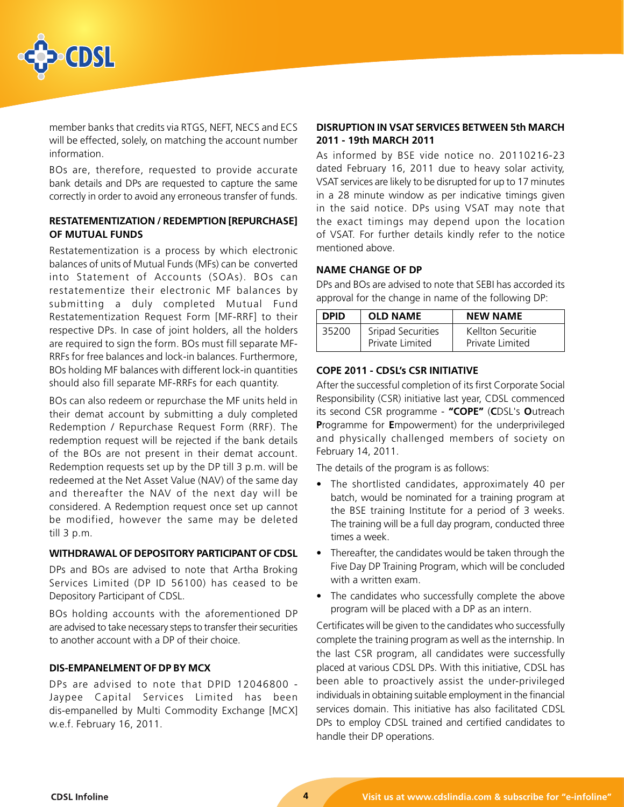

member banks that credits via RTGS, NEFT, NECS and ECS will be effected, solely, on matching the account number information.

BOs are, therefore, requested to provide accurate bank details and DPs are requested to capture the same correctly in order to avoid any erroneous transfer of funds.

## **RESTATEMENTIZATION / REDEMPTION [REPURCHASE] OF MUTUAL FUNDS**

Restatementization is a process by which electronic balances of units of Mutual Funds (MFs) can be converted into Statement of Accounts (SOAs). BOs can restatementize their electronic MF balances by submitting a duly completed Mutual Fund Restatementization Request Form [MF-RRF] to their respective DPs. In case of joint holders, all the holders are required to sign the form. BOs must fill separate MF-RRFs for free balances and lock-in balances. Furthermore, BOs holding MF balances with different lock-in quantities should also fill separate MF-RRFs for each quantity.

BOs can also redeem or repurchase the MF units held in their demat account by submitting a duly completed Redemption / Repurchase Request Form (RRF). The redemption request will be rejected if the bank details of the BOs are not present in their demat account. Redemption requests set up by the DP till 3 p.m. will be redeemed at the Net Asset Value (NAV) of the same day and thereafter the NAV of the next day will be considered. A Redemption request once set up cannot be modified, however the same may be deleted till 3 p.m.

#### **WITHDRAWAL OF DEPOSITORY PARTICIPANT OF CDSL**

DPs and BOs are advised to note that Artha Broking Services Limited (DP ID 56100) has ceased to be Depository Participant of CDSL.

BOs holding accounts with the aforementioned DP are advised to take necessary steps to transfer their securities to another account with a DP of their choice.

## **DIS-EMPANELMENT OF DP BY MCX**

DPs are advised to note that DPID 12046800 - Jaypee Capital Services Limited has been dis-empanelled by Multi Commodity Exchange [MCX] w.e.f. February 16, 2011.

### **DISRUPTION IN VSAT SERVICES BETWEEN 5th MARCH 2011 - 19th MARCH 2011**

As informed by BSE vide notice no. 20110216-23 dated February 16, 2011 due to heavy solar activity, VSAT services are likely to be disrupted for up to 17 minutes in a 28 minute window as per indicative timings given in the said notice. DPs using VSAT may note that the exact timings may depend upon the location of VSAT. For further details kindly refer to the notice mentioned above.

### **NAME CHANGE OF DP**

DPs and BOs are advised to note that SEBI has accorded its approval for the change in name of the following DP:

| <b>DPID</b> | <b>OLD NAME</b>   | <b>NEW NAME</b>   |
|-------------|-------------------|-------------------|
| 35200       | Sripad Securities | Kellton Securitie |
|             | Private Limited   | Private Limited   |

#### **COPE 2011 - CDSL's CSR INITIATIVE**

After the successful completion of its first Corporate Social Responsibility (CSR) initiative last year, CDSL commenced its second CSR programme - **"COPE"** (**C**DSL's **O**utreach **P**rogramme for **E**mpowerment) for the underprivileged and physically challenged members of society on February 14, 2011.

The details of the program is as follows:

- The shortlisted candidates, approximately 40 per batch, would be nominated for a training program at the BSE training Institute for a period of 3 weeks. The training will be a full day program, conducted three times a week.
- Thereafter, the candidates would be taken through the Five Day DP Training Program, which will be concluded with a written exam.
- The candidates who successfully complete the above program will be placed with a DP as an intern.

Certificates will be given to the candidates who successfully complete the training program as well as the internship. In the last CSR program, all candidates were successfully placed at various CDSL DPs. With this initiative, CDSL has been able to proactively assist the under-privileged individuals in obtaining suitable employment in the financial services domain. This initiative has also facilitated CDSL DPs to employ CDSL trained and certified candidates to handle their DP operations.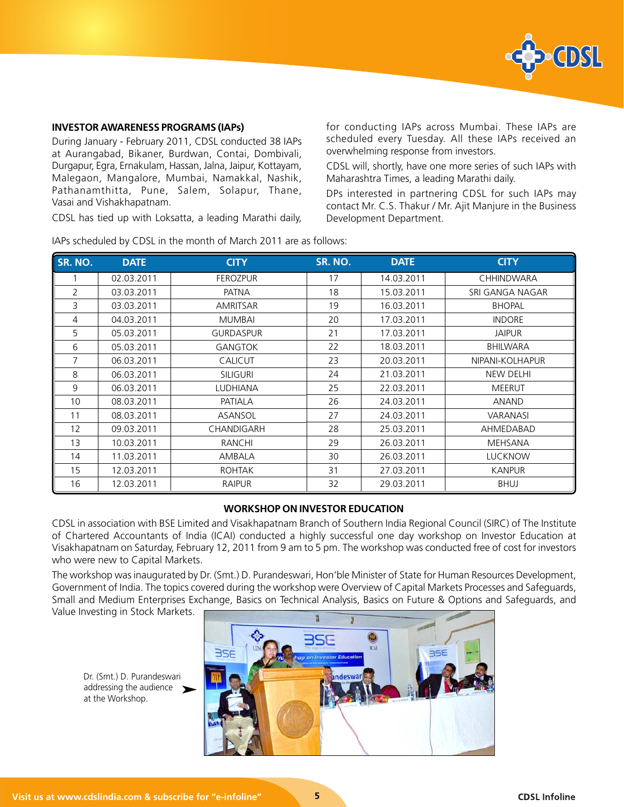

#### **INVESTOR AWARENESS PROGRAMS (IAPs)**

During January - February 2011, CDSL conducted 38 IAPs at Aurangabad, Bikaner, Burdwan, Contai, Dombivali, Durgapur, Egra, Ernakulam, Hassan, Jalna, Jaipur, Kottayam, Malegaon, Mangalore, Mumbai, Namakkal, Nashik, Pathanamthitta, Pune, Salem, Solapur, Thane, Vasai and Vishakhapatnam.

CDSL has tied up with Loksatta, a leading Marathi daily,

for conducting IAPs across Mumbai. These IAPs are scheduled every Tuesday. All these IAPs received an overwhelming response from investors.

CDSL will, shortly, have one more series of such IAPs with Maharashtra Times, a leading Marathi daily.

DPs interested in partnering CDSL for such IAPs may contact Mr. C.S. Thakur / Mr. Ajit Manjure in the Business Development Department.

| SR. NO.       | <b>DATE</b> | <b>CITY</b>      | SR. NO. | <b>DATE</b> | <b>CITY</b>       |
|---------------|-------------|------------------|---------|-------------|-------------------|
|               | 02.03.2011  | <b>FEROZPUR</b>  | 17      | 14.03.2011  | <b>CHHINDWARA</b> |
| $\mathcal{P}$ | 03.03.2011  | <b>PATNA</b>     | 18      | 15.03.2011  | SRI GANGA NAGAR   |
| 3             | 03.03.2011  | <b>AMRITSAR</b>  | 19      | 16.03.2011  | <b>BHOPAL</b>     |
| 4             | 04.03.2011  | <b>MUMBAI</b>    | 20      | 17.03.2011  | <b>INDORE</b>     |
| 5             | 05.03.2011  | <b>GURDASPUR</b> | 21      | 17.03.2011  | <b>JAIPUR</b>     |
| 6             | 05.03.2011  | <b>GANGTOK</b>   | 22      | 18.03.2011  | <b>BHILWARA</b>   |
| 7             | 06.03.2011  | <b>CALICUT</b>   | 23      | 20.03.2011  | NIPANI-KOLHAPUR   |
| 8             | 06.03.2011  | <b>SILIGURI</b>  | 24      | 21.03.2011  | <b>NEW DELHI</b>  |
| 9             | 06.03.2011  | <b>LUDHIANA</b>  | 25      | 22.03.2011  | <b>MEERUT</b>     |
| 10            | 08.03.2011  | PATIALA          | 26      | 24.03.2011  | <b>ANAND</b>      |
| 11            | 08.03.2011  | ASANSOL          | 27      | 24.03.2011  | <b>VARANASI</b>   |
| 12            | 09.03.2011  | CHANDIGARH       | 28      | 25.03.2011  | AHMEDABAD         |
| 13            | 10.03.2011  | <b>RANCHI</b>    | 29      | 26.03.2011  | MEHSANA           |
| 14            | 11.03.2011  | AMBALA           | 30      | 26.03.2011  | <b>LUCKNOW</b>    |
| 15            | 12.03.2011  | <b>ROHTAK</b>    | 31      | 27.03.2011  | <b>KANPUR</b>     |
| 16            | 12.03.2011  | <b>RAIPUR</b>    | 32      | 29.03.2011  | <b>BHUJ</b>       |

IAPs scheduled by CDSL in the month of March 2011 are as follows:

#### **WORKSHOP ON INVESTOR EDUCATION**

CDSL in association with BSE Limited and Visakhapatnam Branch of Southern India Regional Council (SIRC) of The Institute of Chartered Accountants of India (ICAI) conducted a highly successful one day workshop on Investor Education at Visakhapatnam on Saturday, February 12, 2011 from 9 am to 5 pm. The workshop was conducted free of cost for investors who were new to Capital Markets.

The workshop was inaugurated by Dr. (Smt.) D. Purandeswari, Hon'ble Minister of State for Human Resources Development, Government of India. The topics covered during the workshop were Overview of Capital Markets Processes and Safeguards, Small and Medium Enterprises Exchange, Basics on Technical Analysis, Basics on Future & Options and Safeguards, and Value Investing in Stock Markets.

Dr. (Smt.) D. Purandeswari addressing the audience at the Workshop. ➤

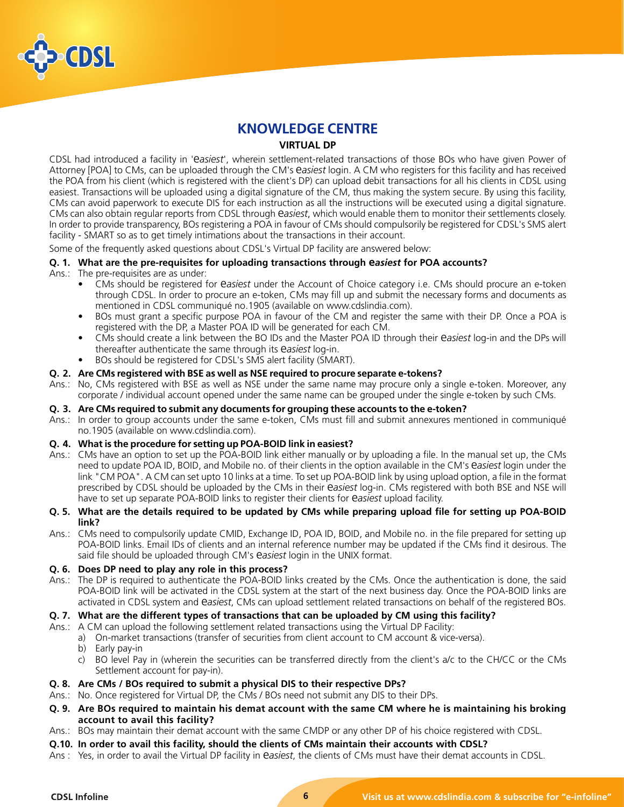

# **KNOWLEDGE CENTRE**

#### **VIRTUAL DP**

CDSL had introduced a facility in 'e*asiest*', wherein settlement-related transactions of those BOs who have given Power of Attorney [POA] to CMs, can be uploaded through the CM's e*asiest* login. A CM who registers for this facility and has received the POA from his client (which is registered with the client's DP) can upload debit transactions for all his clients in CDSL using easiest. Transactions will be uploaded using a digital signature of the CM, thus making the system secure. By using this facility, CMs can avoid paperwork to execute DIS for each instruction as all the instructions will be executed using a digital signature. CMs can also obtain regular reports from CDSL through e*asiest*, which would enable them to monitor their settlements closely. In order to provide transparency, BOs registering a POA in favour of CMs should compulsorily be registered for CDSL's SMS alert facility - SMART so as to get timely intimations about the transactions in their account.

Some of the frequently asked questions about CDSL's Virtual DP facility are answered below:

## **Q. 1. What are the pre-requisites for uploading transactions through e***asiest* **for POA accounts?**

Ans.: The pre-requisites are as under:

- CMs should be registered for e*asiest* under the Account of Choice category i.e. CMs should procure an e-token through CDSL. In order to procure an e-token, CMs may fill up and submit the necessary forms and documents as mentioned in CDSL communiqué no.1905 (available on www.cdslindia.com).
- BOs must grant a specific purpose POA in favour of the CM and register the same with their DP. Once a POA is registered with the DP, a Master POA ID will be generated for each CM.
- CMs should create a link between the BO IDs and the Master POA ID through their e*asiest* log-in and the DPs will thereafter authenticate the same through its e*asiest* log-in.
- BOs should be registered for CDSL's SMS alert facility (SMART).

#### **Q. 2. Are CMs registered with BSE as well as NSE required to procure separate e-tokens?**

Ans.: No, CMs registered with BSE as well as NSE under the same name may procure only a single e-token. Moreover, any corporate / individual account opened under the same name can be grouped under the single e-token by such CMs.

#### **Q. 3. Are CMs required to submit any documents for grouping these accounts to the e-token?**

Ans.: In order to group accounts under the same e-token, CMs must fill and submit annexures mentioned in communiqué no.1905 (available on www.cdslindia.com).

#### **Q. 4. What is the procedure for setting up POA-BOID link in easiest?**

Ans.: CMs have an option to set up the POA-BOID link either manually or by uploading a file. In the manual set up, the CMs need to update POA ID, BOID, and Mobile no. of their clients in the option available in the CM's e*asiest* login under the link "CM POA". A CM can set upto 10 links at a time. To set up POA-BOID link by using upload option, a file in the format prescribed by CDSL should be uploaded by the CMs in their e*asiest* log-in. CMs registered with both BSE and NSE will have to set up separate POA-BOID links to register their clients for e*asiest* upload facility.

#### **Q. 5. What are the details required to be updated by CMs while preparing upload file for setting up POA-BOID link?**

Ans.: CMs need to compulsorily update CMID, Exchange ID, POA ID, BOID, and Mobile no. in the file prepared for setting up POA-BOID links. Email IDs of clients and an internal reference number may be updated if the CMs find it desirous. The said file should be uploaded through CM's e*asiest* login in the UNIX format.

#### **Q. 6. Does DP need to play any role in this process?**

Ans.: The DP is required to authenticate the POA-BOID links created by the CMs. Once the authentication is done, the said POA-BOID link will be activated in the CDSL system at the start of the next business day. Once the POA-BOID links are activated in CDSL system and e*asiest*, CMs can upload settlement related transactions on behalf of the registered BOs.

#### **Q. 7. What are the different types of transactions that can be uploaded by CM using this facility?**

- Ans.: A CM can upload the following settlement related transactions using the Virtual DP Facility:
	- a) On-market transactions (transfer of securities from client account to CM account & vice-versa).
		- b) Early pay-in
		- c) BO level Pay in (wherein the securities can be transferred directly from the client's a/c to the CH/CC or the CMs Settlement account for pay-in).
- **Q. 8. Are CMs / BOs required to submit a physical DIS to their respective DPs?**
- Ans.: No. Once registered for Virtual DP, the CMs / BOs need not submit any DIS to their DPs.
- **Q. 9. Are BOs required to maintain his demat account with the same CM where he is maintaining his broking account to avail this facility?**
- Ans.: BOs may maintain their demat account with the same CMDP or any other DP of his choice registered with CDSL.
- **Q.10. In order to avail this facility, should the clients of CMs maintain their accounts with CDSL?**
- Ans : Yes, in order to avail the Virtual DP facility in e*asiest*, the clients of CMs must have their demat accounts in CDSL.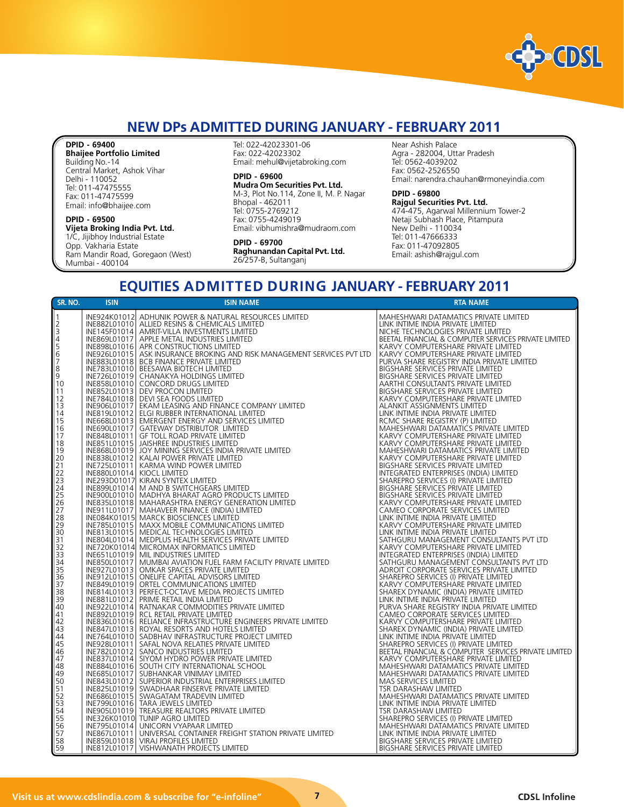

# **NEW DPs ADMITTED DURING JANUARY - FEBRUARY 2011**

#### **DPID - 69400**

**Bhaijee Portfolio Limited** Building No.-14 Central Market, Ashok Vihar Delhi - 110052 Tel: 011-47475555 Fax: 011-47475599 Email: info@bhaijee.com

#### **DPID - 69500 Vijeta Broking India Pvt. Ltd.**

1/C, Jijibhoy Industrial Estate Opp. Vakharia Estate Ram Mandir Road, Goregaon (West) Mumbai - 400104

Tel: 022-42023301-06 Fax: 022-42023302 Email: mehul@vijetabroking.com

#### **DPID - 69600**

**Mudra Om Securities Pvt. Ltd.** M-3, Plot No.114, Zone II, M. P. Nagar Bhopal - 462011 Tel: 0755-2769212 Fax: 0755-4249019 Email: vibhumishra@mudraom.com

#### **DPID - 69700 Raghunandan Capital Pvt. Ltd.** 26/257-B, Sultanganj

Near Ashish Palace Agra - 282004, Uttar Pradesh Tel: 0562-4039202 Fax: 0562-2526550 Email: narendra.chauhan@rmoneyindia.com

#### **DPID - 69800**

**Rajgul Securities Pvt. Ltd.** 474-475, Agarwal Millennium Tower-2 Netaji Subhash Place, Pitampura New Delhi - 110034 Tel: 011-47666333 Fax: 011-47092805 Email: ashish@rajgul.com

# **EQUITIES ADMITTED DURING JANUARY - FEBRUARY 2011**

| SR. NO.                                                  | <b>ISIN</b>  | <b>ISIN NAME</b>                                                                                                                                           | <b>RTA NAME</b>                                                                  |
|----------------------------------------------------------|--------------|------------------------------------------------------------------------------------------------------------------------------------------------------------|----------------------------------------------------------------------------------|
| $\vert$ 1                                                |              | INE924K01012 ADHUNIK POWER & NATURAL RESOURCES LIMITED                                                                                                     | MAHESHWARI DATAMATICS PRIVATE LIMITED                                            |
|                                                          |              | INE882L01010 ALLIED RESINS & CHEMICALS LIMITED                                                                                                             | LINK INTIME INDIA PRIVATE LIMITED                                                |
| $\begin{bmatrix} 2 \\ 3 \\ 4 \\ 5 \end{bmatrix}$         |              | INE145F01014   AMRIT-VILLA INVESTMENTS LIMITED                                                                                                             | NICHE TECHNOLOGIES PRIVATE LIMITED                                               |
|                                                          |              | INE869L01017   APPLE METAL INDUSTRIES LIMITED                                                                                                              | BEETAL FINANCIAL & COMPUTER SERVICES PRIVATE LIMITED                             |
|                                                          |              | INE898L01016 APR CONSTRUCTIONS LIMITED                                                                                                                     | KARVY COMPUTERSHARE PRIVATE LIMITED                                              |
| 6                                                        |              | INE926L01015   ASK INSURANCE BROKING AND RISK MANAGEMENT SERVICES PVT LTD                                                                                  | KARVY COMPUTERSHARE PRIVATE LIMITED                                              |
| 7                                                        |              | INE883L01018 BCB FINANCE PRIVATE LIMITED                                                                                                                   | PURVA SHARE REGISTRY INDIA PRIVATE LIMITED                                       |
| 8                                                        |              | INE783L01010   BEESAWA BIOTECH LIMITED                                                                                                                     | BIGSHARE SERVICES PRIVATE LIMITED                                                |
| 9                                                        |              | INE726L01019 CHANAKYA HOLDINGS LIMITED                                                                                                                     | BIGSHARE SERVICES PRIVATE LIMITED                                                |
| 10                                                       |              | INE858L01010 CONCORD DRUGS LIMITED                                                                                                                         | AARTHI CONSULTANTS PRIVATE LIMITED                                               |
| 11                                                       |              | INE852L01013 DEV PROCON LIMITED                                                                                                                            | BIGSHARE SERVICES PRIVATE LIMITED                                                |
| 12                                                       |              | INE784L01018 DEVI SEA FOODS LIMITED                                                                                                                        | KARVY COMPUTERSHARE PRIVATE LIMITED                                              |
| 13                                                       |              | INE906L01017 EKAM LEASING AND FINANCE COMPANY LIMITED                                                                                                      | ALANKIT ASSIGNMENTS LIMITED                                                      |
| 14                                                       |              | INE819L01012 ELGI RUBBER INTERNATIONAL LIMITED                                                                                                             | LINK INTIME INDIA PRIVATE LIMITED                                                |
| 15                                                       |              | INE668L01013   EMERGENT ENERGY AND SERVICES LIMITED                                                                                                        | RCMC SHARE REGISTRY (P) LIMITED                                                  |
| 16                                                       |              | INE690L01017 GATEWAY DISTRIBUTOR LIMITED                                                                                                                   | MAHESHWARI DATAMATICS PRIVATE LIMITED                                            |
| 17                                                       |              | INE848L01011 GF TOLL ROAD PRIVATE LIMITED                                                                                                                  | KARVY COMPUTERSHARE PRIVATE LIMITED                                              |
| 18                                                       |              | INE851L01015 JAISHREE INDUSTRIES LIMITED                                                                                                                   | KARVY COMPUTERSHARE PRIVATE LIMITED                                              |
| 19                                                       |              | INE868L01019 JOY MINING SERVICES INDIA PRIVATE LIMITED                                                                                                     | MAHESHWARI DATAMATICS PRIVATE LIMITED                                            |
| 20                                                       |              | INE838L01012   KALAI POWER PRIVATE LIMITED                                                                                                                 | KARVY COMPUTERSHARE PRIVATE LIMITED                                              |
| 21                                                       |              | INE725L01011   KARMA WIND POWER LIMITED                                                                                                                    | BIGSHARE SERVICES PRIVATE LIMITED                                                |
| 22                                                       |              | INE880L01014 KIOCL LIMITED                                                                                                                                 | INTEGRATED ENTERPRISES (INDIA) LIMITED                                           |
| $\begin{array}{ c c }\n 23 \\ \hline\n 24\n \end{array}$ |              | INE293D01017 KIRAN SYNTEX LIMITED                                                                                                                          | SHAREPRO SERVICES (I) PRIVATE LIMITED                                            |
|                                                          |              | INE899L01014   M AND B SWITCHGEARS LIMITED                                                                                                                 | BIGSHARE SERVICES PRIVATE LIMITED                                                |
| $\begin{array}{r} 25 \\ 26 \\ 27 \end{array}$            |              | INE900L01010 MADHYA BHARAT AGRO PRODUCTS LIMITED                                                                                                           | BIGSHARE SERVICES PRIVATE LIMITED                                                |
|                                                          |              | INE835L01018   MAHARASHTRA ENERGY GENERATION LIMITED                                                                                                       | KARVY COMPUTERSHARE PRIVATE LIMITED                                              |
|                                                          |              | INE911L01017   MAHAVEER FINANCE (INDIA) LIMITED                                                                                                            | CAMEO CORPORATE SERVICES LIMITED                                                 |
| 28                                                       |              | INE084K01015 MARCK BIOSCIENCES LIMITÉD                                                                                                                     | LINK INTIME INDIA PRIVATE LIMITED                                                |
| $\overline{29}$                                          |              | INE785L01015 MAXX MOBILE COMMUNICATIONS LIMITED                                                                                                            | KARVY COMPUTERSHARE PRIVATE LIMITED                                              |
| $\begin{array}{c} 30 \\ 31 \end{array}$                  |              | INE813L01015   MEDICAL TECHNOLOGIES LIMITED                                                                                                                | LINK INTIME INDIA PRIVATE LIMITED                                                |
|                                                          |              | INE804L01014   MEDPLUS HEALTH SERVICES PRIVATE LIMITED                                                                                                     | SATHGURU MANAGEMENT CONSULTANTS PVT LTD                                          |
| $\begin{array}{c} 32 \\ 33 \end{array}$                  |              | INE720K01014 MICROMAX INFORMATICS LIMITED<br>INE651L01019   MIL INDUSTRIES LIMITED                                                                         | KARVY COMPUTERSHARE PRIVATE LIMITED<br>INTEGRATED ENTERPRISES (INDIA) LIMITED    |
|                                                          |              | INE850L01017   MUMBAI AVIATION FUEL FARM FACILITY PRIVATE LIMITED                                                                                          | SATHGURU MANAGEMENT CONSULTANTS PVT LTD                                          |
| $\frac{34}{35}$                                          |              | INE927L01013   OMKAR SPACES PRIVATE LIMITED                                                                                                                | ADROIT CORPORATE SERVICES PRIVATE LIMITED                                        |
|                                                          |              | INE912L01015   ONELIFE CAPITAL ADVISORS LIMITED                                                                                                            | SHAREPRO SERVICES (I) PRIVATE LIMITED                                            |
| $\begin{array}{c} 36 \\ 37 \\ 38 \end{array}$            |              | INE849L01019 ORTEL COMMUNICATIONS LIMITED                                                                                                                  | KARVY COMPUTERSHARE PRIVATE LIMITED                                              |
|                                                          |              | INE814L01013 PERFECT-OCTAVE MEDIA PROJECTS LIMITED                                                                                                         | SHAREX DYNAMIC (INDIA) PRIVATE LIMITED                                           |
| 39                                                       |              |                                                                                                                                                            | LINK INTIME INDIA PRIVATE LIMITED                                                |
| 40                                                       |              | INE881L01012 PRIME RETAIL INDIA LIMITED<br>INE922L01014 RATNAKAR COMMODITIES PRIVATE LIMITED                                                               | PURVA SHARE REGISTRY INDIA PRIVATE LIMITED                                       |
| 41                                                       |              | INE892L01019 RCL RETAIL PRIVATE LIMITED                                                                                                                    | CAMEO CORPORATE SERVICES LIMITED                                                 |
| 42                                                       |              | INE836L01016 RELIANCE INFRASTRUCTURE ENGINEERS PRIVATE LIMITED                                                                                             | KARVY COMPUTERSHARE PRIVATE LIMITED                                              |
| 43                                                       |              | INE847L01013 ROYAL RESORTS AND HOTELS LIMITED                                                                                                              | SHAREX DYNAMIC (INDIA) PRIVATE LIMITED                                           |
| 44                                                       |              | INE764L01010   SADBHAV INFRASTRUCTURE PROJECT LIMITED                                                                                                      | LINK INTIME INDIA PRIVATE LIMITED                                                |
| 45                                                       |              | INE928L01011 SAFAL NOVA RELATIES PRIVATE LIMITED                                                                                                           | SHAREPRO SERVICES (I) PRIVATE LIMITED                                            |
| 46                                                       |              | INE782L01012 SANCO INDUSTRIES LIMITED<br>INE837L01014 SIYOM HYDRO POWER PRIVATE LIMITED                                                                    | BEETAL FINANCIAL & COMPUTER SERVICES PRIVATE LIMITED                             |
| 47                                                       |              |                                                                                                                                                            | KARVY COMPUTERSHARE PRIVATE LIMITED                                              |
| 48                                                       |              | INE884L01016 SOUTH CITY INTERNATIONAL SCHOOL                                                                                                               | MAHESHWARI DATAMATICS PRIVATE LIMITED                                            |
| 49                                                       |              | INE685L01017 SUBHANKAR VINIMAY LIMITED                                                                                                                     | MAHESHWARI DATAMATICS PRIVATE LIMITED                                            |
| 50                                                       |              | INE843L01012 SUPERIOR INDUSTRIAL ENTERPRISES LIMITED                                                                                                       | MAS SERVICES LIMITED                                                             |
| $\begin{array}{c} 51 \\ 52 \end{array}$                  |              | INE825L01019 SWADHAAR FINSERVE PRIVATE LIMITED<br>INE686L01015 SWADHAAR FINSERVE PRIVATE LIMITED                                                           | TSR DARASHAW LIMITED                                                             |
|                                                          |              |                                                                                                                                                            | MAHESHWARI DATAMATICS PRIVATE LIMITED                                            |
| $\begin{array}{ c c }\n 53 \\ \hline\n 54\n \end{array}$ |              | INE799L01016 TARA JEWELS LIMITED                                                                                                                           | LINK INTIME INDIA PRIVATE LIMITED                                                |
|                                                          |              | INE905L01019 TREASURE REALTORS PRIVATE LIMITED                                                                                                             | TSR DARASHAW LIMITED                                                             |
| $\overline{55}$                                          |              | INE326K01010 TUNIP AGRO LIMITED                                                                                                                            | SHAREPRO SERVICES (I) PRIVATE LIMITED<br>  MAHESHWARI DATAMATICS PRIVATE LIMITED |
| $\begin{array}{c} 56 \\ 57 \end{array}$                  |              | INE795L01014 UNICORN VYAPAAR LIMITED                                                                                                                       | LINK INTIME INDIA PRIVATE LIMITED                                                |
|                                                          | INE867L01011 | INE859L01018 VIRAJ PROFILES LIMITED                                                                                                                        | BIGSHARE SERVICES PRIVATE LIMITED                                                |
| 58<br>59                                                 |              | UNIVERSAL CONTAINER FREIGHT STATION PRIVATE LIMITED<br>VIRAJ PROFILES LIMITED<br>VISHWANATH PROJECTS LIMITED<br>INE812L01017   VISHWANATH PROJECTS LIMITED | <b>BIGSHARE SERVICES PRIVATE LIMITED</b>                                         |
|                                                          |              |                                                                                                                                                            |                                                                                  |